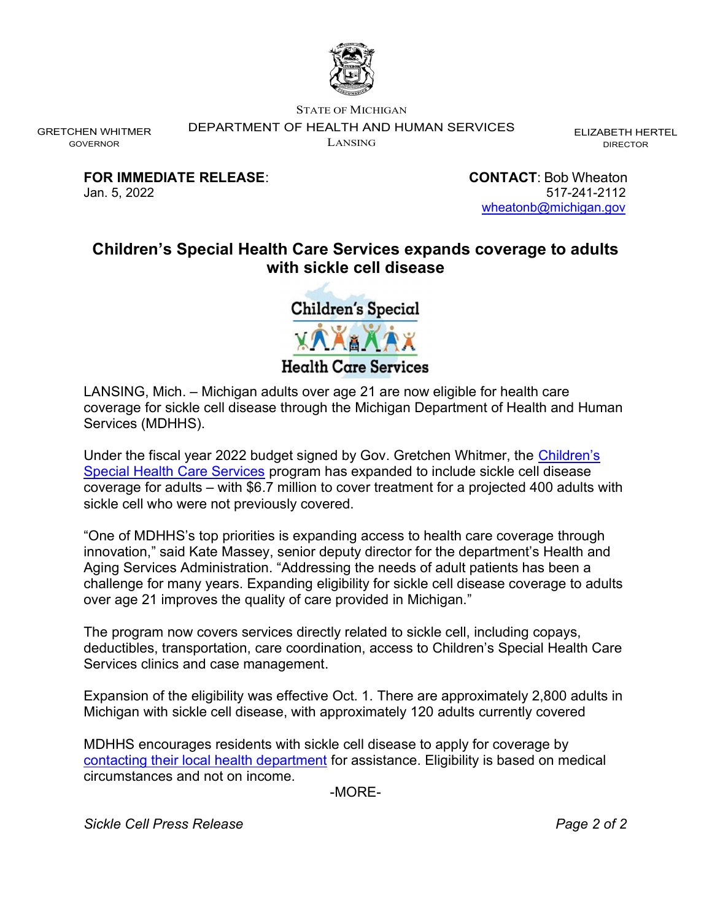

STATE OF MICHIGAN

DEPARTMENT OF HEALTH AND HUMAN SERVICES

LANSING

ELIZABETH HERTEL DIRECTOR

FOR IMMEDIATE RELEASE: CONTACT: Bob Wheaton

GRETCHEN WHITMER GOVERNOR

> Jan. 5, 2022 517-241-2112 wheatonb@michigan.gov

## Children's Special Health Care Services expands coverage to adults with sickle cell disease

**Children's Special XAXXX7 Health Care Services** 

LANSING, Mich. – Michigan adults over age 21 are now eligible for health care coverage for sickle cell disease through the Michigan Department of Health and Human Services (MDHHS).

Under the fiscal year 2022 budget signed by Gov. Gretchen Whitmer, the Children's Special Health Care Services program has expanded to include sickle cell disease coverage for adults – with \$6.7 million to cover treatment for a projected 400 adults with sickle cell who were not previously covered.

"One of MDHHS's top priorities is expanding access to health care coverage through innovation," said Kate Massey, senior deputy director for the department's Health and Aging Services Administration. "Addressing the needs of adult patients has been a challenge for many years. Expanding eligibility for sickle cell disease coverage to adults over age 21 improves the quality of care provided in Michigan."

The program now covers services directly related to sickle cell, including copays, deductibles, transportation, care coordination, access to Children's Special Health Care Services clinics and case management.

Expansion of the eligibility was effective Oct. 1. There are approximately 2,800 adults in Michigan with sickle cell disease, with approximately 120 adults currently covered

MDHHS encourages residents with sickle cell disease to apply for coverage by contacting their local health department for assistance. Eligibility is based on medical circumstances and not on income.

-MORE-

Sickle Cell Press Release **Page 2 of 2** and 2 and 2 and 2 and 2 and 2 and 2 and 2 and 2 and 2 and 2 and 2 and 2 and 2 and 2 and 2 and 2 and 2 and 2 and 2 and 2 and 2 and 2 and 2 and 2 and 2 and 2 and 2 and 2 and 2 and 2 an